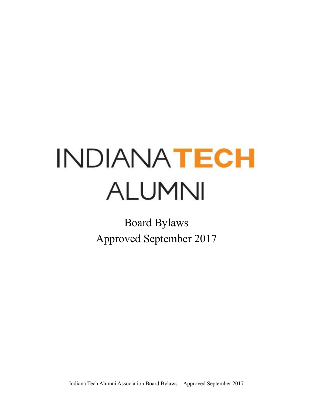# INDIANATECH **ALUMNI**

Board Bylaws Approved September 2017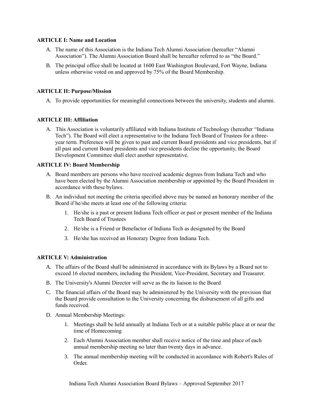### **ARTICLE I: Name and Location**

- A. The name of this Association is the Indiana Tech Alumni Association (hereafter "Alumni Association"). The Alumni Association Board shall be hereafter referred to as "the Board."
- B. The principal office shall be located at 1600 East Washington Boulevard, Fort Wayne, Indiana unless otherwise voted on and approved by 75% of the Board Membership.

## **ARTICLE II: Purpose/Mission**

A. To provide opportunities for meaningful connections between the university, students and alumni.

### **ARTICLE III: Affiliation**

A. This Association is voluntarily affiliated with Indiana Institute of Technology (hereafter "Indiana Tech"). The Board will elect a representative to the Indiana Tech Board of Trustees for a threeyear term. Preference will be given to past and current Board presidents and vice presidents, but if all past and current Board presidents and vice presidents decline the opportunity, the Board Development Committee shall elect another representative.

### **ARTICLE IV: Board Membership**

- A. Board members are persons who have received academic degrees from Indiana Tech and who have been elected by the Alumni Association membership or appointed by the Board President in accordance with these bylaws.
- B. An individual not meeting the criteria specified above may be named an honorary member of the Board if he/she meets at least one of the following criteria:
	- 1. He/she is a past or present Indiana Tech officer or past or present member of the Indiana Tech Board of Trustees
	- 2. He/she is a Friend or Benefactor of Indiana Tech as designated by the Board
	- 3. He/she has received an Honorary Degree from Indiana Tech.

### **ARTICLE V: Administration**

- A. The affairs of the Board shall be administered in accordance with its Bylaws by a Board not to exceed 16 elected members, including the President, Vice-President, Secretary and Treasurer.
- B. The University's Alumni Director will serve as the its liaison to the Board
- C. The financial affairs of the Board may be administered by the University with the provision that the Board provide consultation to the University concerning the disbursement of all gifts and funds received.
- D. Annual Membership Meetings:
	- 1. Meetings shall be held annually at Indiana Tech or at a suitable public place at or near the time of Homecoming
	- 2. Each Alumni Association member shall receive notice of the time and place of each annual membership meeting no later than twenty days in advance.
	- 3. The annual membership meeting will be conducted in accordance with Robert's Rules of Order.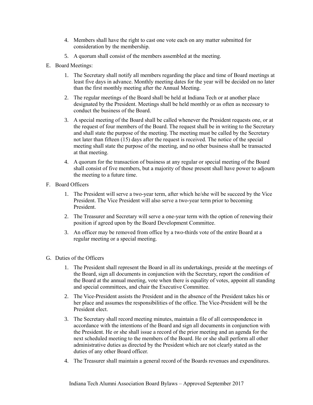- 4. Members shall have the right to cast one vote each on any matter submitted for consideration by the membership.
- 5. A quorum shall consist of the members assembled at the meeting.
- E. Board Meetings:
	- 1. The Secretary shall notify all members regarding the place and time of Board meetings at least five days in advance. Monthly meeting dates for the year will be decided on no later than the first monthly meeting after the Annual Meeting.
	- 2. The regular meetings of the Board shall be held at Indiana Tech or at another place designated by the President. Meetings shall be held monthly or as often as necessary to conduct the business of the Board.
	- 3. A special meeting of the Board shall be called whenever the President requests one, or at the request of four members of the Board. The request shall be in writing to the Secretary and shall state the purpose of the meeting. The meeting must be called by the Secretary not later than fifteen (15) days after the request is received. The notice of the special meeting shall state the purpose of the meeting, and no other business shall be transacted at that meeting.
	- 4. A quorum for the transaction of business at any regular or special meeting of the Board shall consist of five members, but a majority of those present shall have power to adjourn the meeting to a future time.
- F. Board Officers
	- 1. The President will serve a two-year term, after which he/she will be succeed by the Vice President. The Vice President will also serve a two-year term prior to becoming President.
	- 2. The Treasurer and Secretary will serve a one-year term with the option of renewing their position if agreed upon by the Board Development Committee.
	- 3. An officer may be removed from office by a two-thirds vote of the entire Board at a regular meeting or a special meeting.
- G. Duties of the Officers
	- 1. The President shall represent the Board in all its undertakings, preside at the meetings of the Board, sign all documents in conjunction with the Secretary, report the condition of the Board at the annual meeting, vote when there is equality of votes, appoint all standing and special committees, and chair the Executive Committee.
	- 2. The Vice-President assists the President and in the absence of the President takes his or her place and assumes the responsibilities of the office. The Vice-President will be the President elect.
	- 3. The Secretary shall record meeting minutes, maintain a file of all correspondence in accordance with the intentions of the Board and sign all documents in conjunction with the President. He or she shall issue a record of the prior meeting and an agenda for the next scheduled meeting to the members of the Board. He or she shall perform all other administrative duties as directed by the President which are not clearly stated as the duties of any other Board officer.
	- 4. The Treasurer shall maintain a general record of the Boards revenues and expenditures.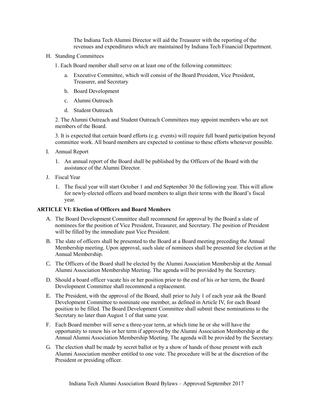The Indiana Tech Alumni Director will aid the Treasurer with the reporting of the revenues and expenditures which are maintained by Indiana Tech Financial Department.

- H. Standing Committees
	- 1. Each Board member shall serve on at least one of the following committees:
		- a. Executive Committee, which will consist of the Board President, Vice President, Treasurer, and Secretary
		- b. Board Development
		- c. Alumni Outreach
		- d. Student Outreach

2. The Alumni Outreach and Student Outreach Committees may appoint members who are not members of the Board.

3. It is expected that certain board efforts (e.g. events) will require full board participation beyond committee work. All board members are expected to continue to these efforts whenever possible.

- I. Annual Report
	- 1. An annual report of the Board shall be published by the Officers of the Board with the assistance of the Alumni Director.
- J. Fiscal Year
	- 1. The fiscal year will start October 1 and end September 30 the following year. This will allow for newly-elected officers and board members to align their terms with the Board's fiscal year.

# **ARTICLE VI: Election of Officers and Board Members**

- A. The Board Development Committee shall recommend for approval by the Board a slate of nominees for the position of Vice President, Treasurer, and Secretary. The position of President will be filled by the immediate past Vice President.
- B. The slate of officers shall be presented to the Board at a Board meeting preceding the Annual Membership meeting. Upon approval, such slate of nominees shall be presented for election at the Annual Membership.
- C. The Officers of the Board shall be elected by the Alumni Association Membership at the Annual Alumni Association Membership Meeting. The agenda will be provided by the Secretary.
- D. Should a board officer vacate his or her position prior to the end of his or her term, the Board Development Committee shall recommend a replacement.
- E. The President, with the approval of the Board, shall prior to July 1 of each year ask the Board Development Committee to nominate one member, as defined in Article IV, for each Board position to be filled. The Board Development Committee shall submit these nominations to the Secretary no later than August 1 of that same year.
- F. Each Board member will serve a three-year term, at which time he or she will have the opportunity to renew his or her term if approved by the Alumni Association Membership at the Annual Alumni Association Membership Meeting. The agenda will be provided by the Secretary.
- G. The election shall be made by secret ballot or by a show of hands of those present with each Alumni Association member entitled to one vote. The procedure will be at the discretion of the President or presiding officer.